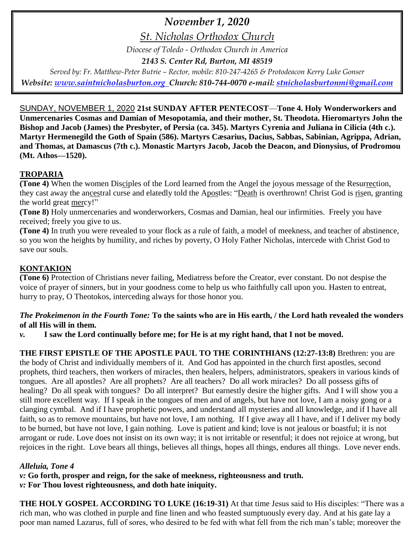## *November 1, 2020*

*St. Nicholas Orthodox Church*

*Diocese of Toledo - Orthodox Church in America*

*2143 S. Center Rd, Burton, MI 48519*

*Served by: Fr. Matthew-Peter Butrie – Rector, mobile: 810-247-4265 & Protodeacon Kerry Luke Gonser Website: [www.saintnicholasburton.org](http://www.saintnicholasburton.org/) Church: 810-744-0070 e-mail: [stnicholasburtonmi@gmail.com](mailto:stnicholasburtonmi@gmail.com)*

SUNDAY, NOVEMBER 1, 2020 **21st SUNDAY AFTER PENTECOST**—**Tone 4. Holy Wonderworkers and Unmercenaries Cosmas and Damian of Mesopotamia, and their mother, St. Theodota. Hieromartyrs John the Bishop and Jacob (James) the Presbyter, of Persia (ca. 345). Martyrs Cyrenia and Juliana in Cilicia (4th c.). Martyr Hermenegild the Goth of Spain (586). Martyrs Cæsarius, Dacius, Sabbas, Sabinian, Agrippa, Adrian, and Thomas, at Damascus (7th c.). Monastic Martyrs Jacob, Jacob the Deacon, and Dionysius, of Prodromou (Mt. Athos—1520).**

## **TROPARIA**

**(Tone 4)** When the women Disciples of the Lord learned from the Angel the joyous message of the Resurrection, they cast away the ancestral curse and elatedly told the Apostles: "Death is overthrown! Christ God is risen, granting the world great mercy!"

**(Tone 8)** Holy unmercenaries and wonderworkers, Cosmas and Damian, heal our infirmities. Freely you have received; freely you give to us.

**(Tone 4)** In truth you were revealed to your flock as a rule of faith, a model of meekness, and teacher of abstinence, so you won the heights by humility, and riches by poverty, O Holy Father Nicholas, intercede with Christ God to save our souls.

### **KONTAKION**

**(Tone 6)** Protection of Christians never failing, Mediatress before the Creator, ever constant. Do not despise the voice of prayer of sinners, but in your goodness come to help us who faithfully call upon you. Hasten to entreat, hurry to pray, O Theotokos, interceding always for those honor you.

#### *The Prokeimenon in the Fourth Tone:* **To the saints who are in His earth, / the Lord hath revealed the wonders of all His will in them.**

*v.* **I saw the Lord continually before me; for He is at my right hand, that I not be moved.**

**THE FIRST EPISTLE OF THE APOSTLE PAUL TO THE CORINTHIANS (12:27-13:8)** Brethren: you are the body of Christ and individually members of it. And God has appointed in the church first apostles, second prophets, third teachers, then workers of miracles, then healers, helpers, administrators, speakers in various kinds of tongues. Are all apostles? Are all prophets? Are all teachers? Do all work miracles? Do all possess gifts of healing? Do all speak with tongues? Do all interpret? But earnestly desire the higher gifts. And I will show you a still more excellent way. If I speak in the tongues of men and of angels, but have not love, I am a noisy gong or a clanging cymbal. And if I have prophetic powers, and understand all mysteries and all knowledge, and if I have all faith, so as to remove mountains, but have not love, I am nothing. If I give away all I have, and if I deliver my body to be burned, but have not love, I gain nothing. Love is patient and kind; love is not jealous or boastful; it is not arrogant or rude. Love does not insist on its own way; it is not irritable or resentful; it does not rejoice at wrong, but rejoices in the right. Love bears all things, believes all things, hopes all things, endures all things. Love never ends.

#### *Alleluia, Tone 4*

*v:* **Go forth, prosper and reign, for the sake of meekness, righteousness and truth.** *v:* **For Thou lovest righteousness, and doth hate iniquity.**

**THE HOLY GOSPEL ACCORDING TO LUKE (16:19-31)** At that time Jesus said to His disciples: "There was a rich man, who was clothed in purple and fine linen and who feasted sumptuously every day. And at his gate lay a poor man named Lazarus, full of sores, who desired to be fed with what fell from the rich man's table; moreover the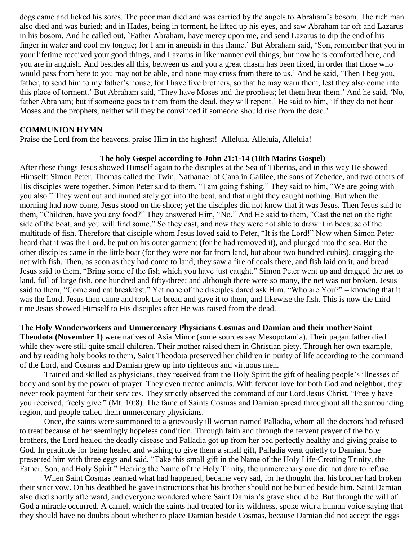dogs came and licked his sores. The poor man died and was carried by the angels to Abraham's bosom. The rich man also died and was buried; and in Hades, being in torment, he lifted up his eyes, and saw Abraham far off and Lazarus in his bosom. And he called out, `Father Abraham, have mercy upon me, and send Lazarus to dip the end of his finger in water and cool my tongue; for I am in anguish in this flame.' But Abraham said, 'Son, remember that you in your lifetime received your good things, and Lazarus in like manner evil things; but now he is comforted here, and you are in anguish. And besides all this, between us and you a great chasm has been fixed, in order that those who would pass from here to you may not be able, and none may cross from there to us.' And he said, 'Then I beg you, father, to send him to my father's house, for I have five brothers, so that he may warn them, lest they also come into this place of torment.' But Abraham said, 'They have Moses and the prophets; let them hear them.' And he said, 'No, father Abraham; but if someone goes to them from the dead, they will repent.' He said to him, 'If they do not hear Moses and the prophets, neither will they be convinced if someone should rise from the dead.'

#### **COMMUNION HYMN**

Praise the Lord from the heavens, praise Him in the highest! Alleluia, Alleluia, Alleluia!

#### **The holy Gospel according to John 21:1-14 (10th Matins Gospel)**

After these things Jesus showed Himself again to the disciples at the Sea of Tiberias, and in this way He showed Himself: Simon Peter, Thomas called the Twin, Nathanael of Cana in Galilee, the sons of Zebedee, and two others of His disciples were together. Simon Peter said to them, "I am going fishing." They said to him, "We are going with you also." They went out and immediately got into the boat, and that night they caught nothing. But when the morning had now come, Jesus stood on the shore; yet the disciples did not know that it was Jesus. Then Jesus said to them, "Children, have you any food?" They answered Him, "No." And He said to them, "Cast the net on the right side of the boat, and you will find some." So they cast, and now they were not able to draw it in because of the multitude of fish. Therefore that disciple whom Jesus loved said to Peter, "It is the Lord!" Now when Simon Peter heard that it was the Lord, he put on his outer garment (for he had removed it), and plunged into the sea. But the other disciples came in the little boat (for they were not far from land, but about two hundred cubits), dragging the net with fish. Then, as soon as they had come to land, they saw a fire of coals there, and fish laid on it, and bread. Jesus said to them, "Bring some of the fish which you have just caught." Simon Peter went up and dragged the net to land, full of large fish, one hundred and fifty-three; and although there were so many, the net was not broken. Jesus said to them, "Come and eat breakfast." Yet none of the disciples dared ask Him, "Who are You?" – knowing that it was the Lord. Jesus then came and took the bread and gave it to them, and likewise the fish. This is now the third time Jesus showed Himself to His disciples after He was raised from the dead.

**The Holy Wonderworkers and Unmercenary Physicians Cosmas and Damian and their mother Saint Theodota (November 1)** were natives of Asia Minor (some sources say Mesopotamia). Their pagan father died while they were still quite small children. Their mother raised them in Christian piety. Through her own example, and by reading holy books to them, Saint Theodota preserved her children in purity of life according to the command of the Lord, and Cosmas and Damian grew up into righteous and virtuous men.

Trained and skilled as physicians, they received from the Holy Spirit the gift of healing people's illnesses of body and soul by the power of prayer. They even treated animals. With fervent love for both God and neighbor, they never took payment for their services. They strictly observed the command of our Lord Jesus Christ, "Freely have you received, freely give." (Mt. 10:8). The fame of Saints Cosmas and Damian spread throughout all the surrounding region, and people called them unmercenary physicians.

Once, the saints were summoned to a grievously ill woman named Palladia, whom all the doctors had refused to treat because of her seemingly hopeless condition. Through faith and through the fervent prayer of the holy brothers, the Lord healed the deadly disease and Palladia got up from her bed perfectly healthy and giving praise to God. In gratitude for being healed and wishing to give them a small gift, Palladia went quietly to Damian. She presented him with three eggs and said, "Take this small gift in the Name of the Holy Life-Creating Trinity, the Father, Son, and Holy Spirit." Hearing the Name of the Holy Trinity, the unmercenary one did not dare to refuse.

When Saint Cosmas learned what had happened, became very sad, for he thought that his brother had broken their strict vow. On his deathbed he gave instructions that his brother should not be buried beside him. Saint Damian also died shortly afterward, and everyone wondered where Saint Damian's grave should be. But through the will of God a miracle occurred. A camel, which the saints had treated for its wildness, spoke with a human voice saying that they should have no doubts about whether to place Damian beside Cosmas, because Damian did not accept the eggs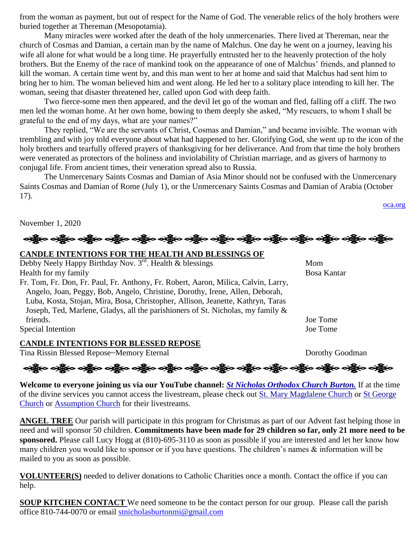from the woman as payment, but out of respect for the Name of God. The venerable relics of the holy brothers were buried together at Thereman (Mesopotamia).

Many miracles were worked after the death of the holy unmercenaries. There lived at Thereman, near the church of Cosmas and Damian, a certain man by the name of Malchus. One day he went on a journey, leaving his wife all alone for what would be a long time. He prayerfully entrusted her to the heavenly protection of the holy brothers. But the Enemy of the race of mankind took on the appearance of one of Malchus' friends, and planned to kill the woman. A certain time went by, and this man went to her at home and said that Malchus had sent him to bring her to him. The woman believed him and went along. He led her to a solitary place intending to kill her. The woman, seeing that disaster threatened her, called upon God with deep faith.

Two fierce-some men then appeared, and the devil let go of the woman and fled, falling off a cliff. The two men led the woman home. At her own home, bowing to them deeply she asked, "My rescuers, to whom I shall be grateful to the end of my days, what are your names?"

They replied, "We are the servants of Christ, Cosmas and Damian," and became invisible. The woman with trembling and with joy told everyone about what had happened to her. Glorifying God, she went up to the icon of the holy brothers and tearfully offered prayers of thanksgiving for her deliverance. And from that time the holy brothers were venerated as protectors of the holiness and inviolability of Christian marriage, and as givers of harmony to conjugal life. From ancient times, their veneration spread also to Russia.

The Unmercenary Saints Cosmas and Damian of Asia Minor should not be confused with the Unmercenary Saints Cosmas and Damian of Rome (July 1), or the Unmercenary Saints Cosmas and Damian of Arabia (October 17).

[oca.org](https://www.oca.org/saints/lives/2020/11/01/103133-holy-wonderworkers-and-unmercenaries-cosmas-and-damian-of-mesopo)

November 1, 2020

# ဆို့ပြီးဝ သို့ဖြင့် သို့ဖြင့် သို့ဖြင့် သို့ဖြင့် သို့ဖြင့် သို့ဖြင့် သို့ဖြင့် သို့ဖြင့် သို့ဖြင့် သို့ဖြင့် သို့ဖြ

#### **CANDLE INTENTIONS FOR THE HEALTH AND BLESSINGS OF**

Debby Neely Happy Birthday Nov.  $3^{rd}$ . Health & blessings Mom Health for my family Bosa Kantar Bosa Kantar Fr. Tom, Fr. Don, Fr. Paul, Fr. Anthony, Fr. Robert, Aaron, Milica, Calvin, Larry, Angelo, Joan, Peggy, Bob, Angelo, Christine, Dorothy, Irene, Allen, Deborah, Luba, Kosta, Stojan, Mira, Bosa, Christopher, Allison, Jeanette, Kathryn, Taras Joseph, Ted, Marlene, Gladys, all the parishioners of St. Nicholas, my family & friends. Joe Tome Special Intention Joe Tome

#### **CANDLE INTENTIONS FOR BLESSED REPOSE**

Tina Rissin Blessed Repose~Memory Eternal Dorothy Goodman

ઓફ્રિંગ ઓફ્રિંગ ઓફ્રિંગ ઓફ્રિંગ ઓફ્રિંગ ઓફ્રિંગ ઓફ્રિંગ ઓફ્રિંગ ઓફ્રિંગ ઓફ્રિંગ ઓફ્રિંગ ઓફ્રિંગ

**Welcome to everyone joining us via our YouTube channel:** *[St Nicholas Orthodox Church Burton.](https://www.youtube.com/channel/UC59tV-Re443z-GCoETAUvfA)* If at the time of the divine services you cannot access the livestream, please check out [St. Mary Magdalene Church](https://www.youtube.com/channel/UClHAqZrWkXdYELujbbIslHg) or [St George](https://www.youtube.com/channel/UCpLWfxMIJK4uQOV41ekE6Wg/videos?view=2&flow=grid)  [Church](https://www.youtube.com/channel/UCpLWfxMIJK4uQOV41ekE6Wg/videos?view=2&flow=grid) or [Assumption Church](https://www.facebook.com/AssumptionGrandBlanc/) for their livestreams.

**ANGEL TREE** Our parish will participate in this program for Christmas as part of our Advent fast helping those in need and will sponsor 50 children. **Commitments have been made for 29 children so far, only 21 more need to be sponsored.** Please call Lucy Hogg at (810)-695-3110 as soon as possible if you are interested and let her know how many children you would like to sponsor or if you have questions. The children's names & information will be mailed to you as soon as possible.

**VOLUNTEER(S)** needed to deliver donations to Catholic Charities once a month. Contact the office if you can help.

**SOUP KITCHEN CONTACT** We need someone to be the contact person for our group. Please call the parish office 810-744-0070 or email [stnicholasburtonmi@gmail.com](mailto:stnicholasburtonmi@gmail.com)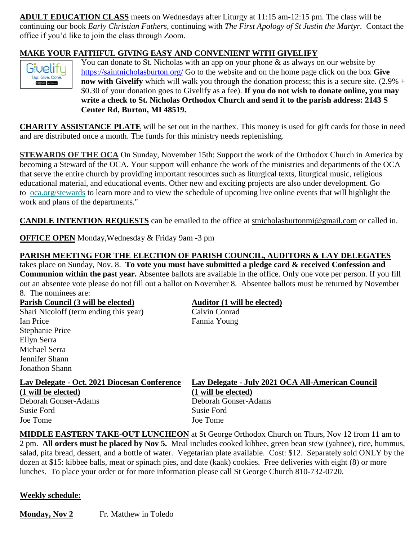**ADULT EDUCATION CLASS** meets on Wednesdays after Liturgy at 11:15 am-12:15 pm. The class will be continuing our book *Early Christian Fathers,* continuing with *The First Apology of St Justin the Martyr.* Contact the office if you'd like to join the class through Zoom*.*

#### **MAKE YOUR FAITHFUL GIVING EASY AND CONVENIENT WITH GIVELIFY**



You can donate to St. Nicholas with an app on your phone  $\&$  as always on our website by <https://saintnicholasburton.org/> Go to the website and on the home page click on the box **Give now with Givelify** which will walk you through the donation process; this is a secure site. (2.9% + \$0.30 of your donation goes to Givelify as a fee). **If you do not wish to donate online, you may write a check to St. Nicholas Orthodox Church and send it to the parish address: 2143 S Center Rd, Burton, MI 48519.**

**CHARITY ASSISTANCE PLATE** will be set out in the narthex. This money is used for gift cards for those in need and are distributed once a month. The funds for this ministry needs replenishing.

**STEWARDS OF THE OCA** On Sunday, November 15th: Support the work of the Orthodox Church in America by becoming a Steward of the OCA. Your support will enhance the work of the ministries and departments of the OCA that serve the entire church by providing important resources such as liturgical texts, liturgical music, religious educational material, and educational events. Other new and exciting projects are also under development. Go to [oca.org/stewards](https://bdoca.us19.list-manage.com/track/click?u=8637fd6ca03b533ebeb2815cf&id=c105c6fb6f&e=91ce1b243d) to learn more and to view the schedule of upcoming live online events that will highlight the work and plans of the departments."

**CANDLE INTENTION REQUESTS** can be emailed to the office at [stnicholasburtonmi@gmail.com](mailto:stnicholasburtonmi@gmail.com) or called in.

**OFFICE OPEN** Monday,Wednesday & Friday 9am -3 pm

#### **PARISH MEETING FOR THE ELECTION OF PARISH COUNCIL, AUDITORS & LAY DELEGATES**

takes place on Sunday, Nov. 8. **To vote you must have submitted a pledge card & received Confession and Communion within the past year.** Absentee ballots are available in the office. Only one vote per person. If you fill out an absentee vote please do not fill out a ballot on November 8. Absentee ballots must be returned by November 8. The nominees are:

#### **Parish Council (3 will be elected) Auditor (1 will be elected)**

Shari Nicoloff (term ending this year) Calvin Conrad Ian Price Fannia Young Stephanie Price Ellyn Serra Michael Serra Jennifer Shann Jonathon Shann

**(1 will be elected) (1 will be elected)** Deborah Gonser-Adams Deborah Gonser-Adams Susie Ford Susie Ford Joe Tome Joe Tome

# **Lay Delegate - Oct. 2021 Diocesan Conference Lay Delegate - July 2021 OCA All-American Council**

**MIDDLE EASTERN TAKE-OUT LUNCHEON** at St George Orthodox Church on Thurs, Nov 12 from 11 am to 2 pm. **All orders must be placed by Nov 5.** Meal includes cooked kibbee, green bean stew (yahnee), rice, hummus, salad, pita bread, dessert, and a bottle of water. Vegetarian plate available. Cost: \$12. Separately sold ONLY by the dozen at \$15: kibbee balls, meat or spinach pies, and date (kaak) cookies. Free deliveries with eight (8) or more lunches. To place your order or for more information please call St George Church 810-732-0720.

#### **Weekly schedule:**

**Monday, Nov 2** Fr. Matthew in Toledo